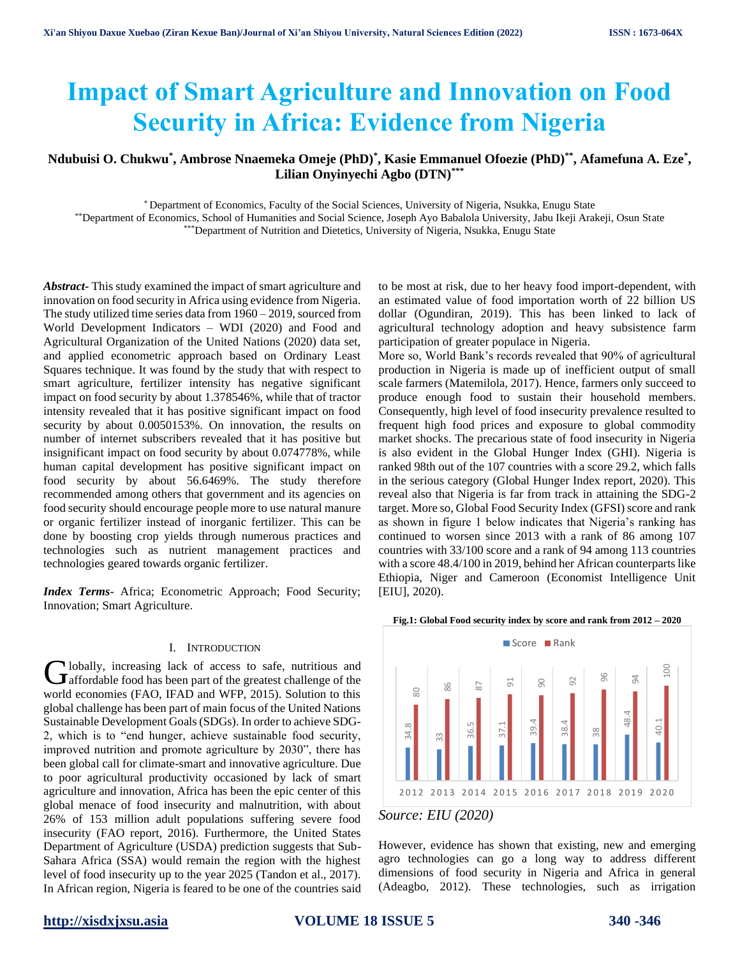# **Impact of Smart Agriculture and Innovation on Food Security in Africa: Evidence from Nigeria**

# **Ndubuisi O. Chukwu\* , Ambrose Nnaemeka Omeje (PhD)\* , Kasie Emmanuel Ofoezie (PhD)\*\*, Afamefuna A. Eze\* , Lilian Onyinyechi Agbo (DTN)\*\*\***

\* Department of Economics, Faculty of the Social Sciences, University of Nigeria, Nsukka, Enugu State

\*\*Department of Economics, School of Humanities and Social Science, Joseph Ayo Babalola University, Jabu Ikeji Arakeji, Osun State \*\*\*Department of Nutrition and Dietetics, University of Nigeria, Nsukka, Enugu State

*Abstract***-** This study examined the impact of smart agriculture and innovation on food security in Africa using evidence from Nigeria. The study utilized time series data from 1960 – 2019, sourced from World Development Indicators – WDI (2020) and Food and Agricultural Organization of the United Nations (2020) data set, and applied econometric approach based on Ordinary Least Squares technique. It was found by the study that with respect to smart agriculture, fertilizer intensity has negative significant impact on food security by about 1.378546%, while that of tractor intensity revealed that it has positive significant impact on food security by about 0.0050153%. On innovation, the results on number of internet subscribers revealed that it has positive but insignificant impact on food security by about 0.074778%, while human capital development has positive significant impact on food security by about 56.6469%. The study therefore recommended among others that government and its agencies on food security should encourage people more to use natural manure or organic fertilizer instead of inorganic fertilizer. This can be done by boosting crop yields through numerous practices and technologies such as nutrient management practices and technologies geared towards organic fertilizer.

*Index Terms*- Africa; Econometric Approach; Food Security; Innovation; Smart Agriculture.

#### I. INTRODUCTION

lobally, increasing lack of access to safe, nutritious and Globally, increasing lack of access to safe, nutritious and affordable food has been part of the greatest challenge of the world economies (FAO, IFAD and WFP, 2015). Solution to this global challenge has been part of main focus of the United Nations Sustainable Development Goals (SDGs). In order to achieve SDG-2, which is to "end hunger, achieve sustainable food security, improved nutrition and promote agriculture by 2030", there has been global call for climate-smart and innovative agriculture. Due to poor agricultural productivity occasioned by lack of smart agriculture and innovation, Africa has been the epic center of this global menace of food insecurity and malnutrition, with about 26% of 153 million adult populations suffering severe food insecurity (FAO report, 2016). Furthermore, the United States Department of Agriculture (USDA) prediction suggests that Sub-Sahara Africa (SSA) would remain the region with the highest level of food insecurity up to the year 2025 (Tandon et al., 2017). In African region, Nigeria is feared to be one of the countries said

to be most at risk, due to her heavy food import-dependent, with an estimated value of food importation worth of 22 billion US dollar (Ogundiran, 2019). This has been linked to lack of agricultural technology adoption and heavy subsistence farm participation of greater populace in Nigeria.

More so, World Bank's records revealed that 90% of agricultural production in Nigeria is made up of inefficient output of small scale farmers (Matemilola, 2017). Hence, farmers only succeed to produce enough food to sustain their household members. Consequently, high level of food insecurity prevalence resulted to frequent high food prices and exposure to global commodity market shocks. The precarious state of food insecurity in Nigeria is also evident in the Global Hunger Index (GHI). Nigeria is ranked 98th out of the 107 countries with a score 29.2, which falls in the serious category (Global Hunger Index report, 2020). This reveal also that Nigeria is far from track in attaining the SDG-2 target. More so, Global Food Security Index (GFSI) score and rank as shown in figure 1 below indicates that Nigeria's ranking has continued to worsen since 2013 with a rank of 86 among 107 countries with 33/100 score and a rank of 94 among 113 countries with a score 48.4/100 in 2019, behind her African counterparts like Ethiopia, Niger and Cameroon (Economist Intelligence Unit [EIU], 2020).







However, evidence has shown that existing, new and emerging agro technologies can go a long way to address different dimensions of food security in Nigeria and Africa in general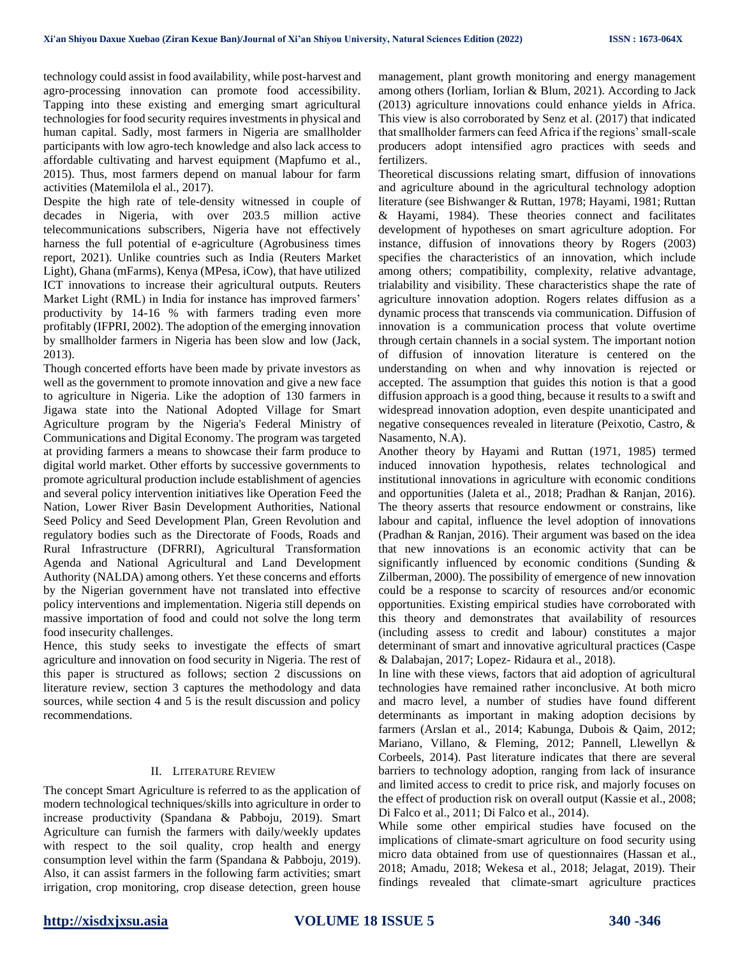technology could assist in food availability, while post-harvest and agro-processing innovation can promote food accessibility. Tapping into these existing and emerging smart agricultural technologies for food security requires investments in physical and human capital. Sadly, most farmers in Nigeria are smallholder participants with low agro-tech knowledge and also lack access to affordable cultivating and harvest equipment (Mapfumo et al., 2015). Thus, most farmers depend on manual labour for farm activities (Matemilola el al., 2017).

Despite the high rate of tele-density witnessed in couple of decades in Nigeria, with over 203.5 million active telecommunications subscribers, Nigeria have not effectively harness the full potential of e-agriculture (Agrobusiness times report, 2021). Unlike countries such as India (Reuters Market Light), Ghana (mFarms), Kenya (MPesa, iCow), that have utilized ICT innovations to increase their agricultural outputs. Reuters Market Light (RML) in India for instance has improved farmers' productivity by 14-16 % with farmers trading even more profitably (IFPRI, 2002). The adoption of the emerging innovation by smallholder farmers in Nigeria has been slow and low (Jack, 2013).

Though concerted efforts have been made by private investors as well as the government to promote innovation and give a new face to agriculture in Nigeria. Like the adoption of 130 farmers in Jigawa state into the National Adopted Village for Smart Agriculture program by the Nigeria's Federal Ministry of Communications and Digital Economy. The program was targeted at providing farmers a means to showcase their farm produce to digital world market. Other efforts by successive governments to promote agricultural production include establishment of agencies and several policy intervention initiatives like Operation Feed the Nation, Lower River Basin Development Authorities, National Seed Policy and Seed Development Plan, Green Revolution and regulatory bodies such as the Directorate of Foods, Roads and Rural Infrastructure (DFRRI), Agricultural Transformation Agenda and National Agricultural and Land Development Authority (NALDA) among others. Yet these concerns and efforts by the Nigerian government have not translated into effective policy interventions and implementation. Nigeria still depends on massive importation of food and could not solve the long term food insecurity challenges.

Hence, this study seeks to investigate the effects of smart agriculture and innovation on food security in Nigeria. The rest of this paper is structured as follows; section 2 discussions on literature review, section 3 captures the methodology and data sources, while section 4 and 5 is the result discussion and policy recommendations.

#### II. LITERATURE REVIEW

The concept Smart Agriculture is referred to as the application of modern technological techniques/skills into agriculture in order to increase productivity (Spandana & Pabboju, 2019). Smart Agriculture can furnish the farmers with daily/weekly updates with respect to the soil quality, crop health and energy consumption level within the farm (Spandana & Pabboju, 2019). Also, it can assist farmers in the following farm activities; smart irrigation, crop monitoring, crop disease detection, green house

management, plant growth monitoring and energy management among others (Iorliam, Iorlian & Blum, 2021). According to Jack (2013) agriculture innovations could enhance yields in Africa. This view is also corroborated by Senz et al. (2017) that indicated that smallholder farmers can feed Africa if the regions' small-scale producers adopt intensified agro practices with seeds and fertilizers.

Theoretical discussions relating smart, diffusion of innovations and agriculture abound in the agricultural technology adoption literature (see Bishwanger & Ruttan, 1978; Hayami, 1981; Ruttan & Hayami, 1984). These theories connect and facilitates development of hypotheses on smart agriculture adoption. For instance, diffusion of innovations theory by Rogers (2003) specifies the characteristics of an innovation, which include among others; compatibility, complexity, relative advantage, trialability and visibility. These characteristics shape the rate of agriculture innovation adoption. Rogers relates diffusion as a dynamic process that transcends via communication. Diffusion of innovation is a communication process that volute overtime through certain channels in a social system. The important notion of diffusion of innovation literature is centered on the understanding on when and why innovation is rejected or accepted. The assumption that guides this notion is that a good diffusion approach is a good thing, because it results to a swift and widespread innovation adoption, even despite unanticipated and negative consequences revealed in literature (Peixotio, Castro, & Nasamento, N.A).

Another theory by Hayami and Ruttan (1971, 1985) termed induced innovation hypothesis, relates technological and institutional innovations in agriculture with economic conditions and opportunities (Jaleta et al., 2018; Pradhan & Ranjan, 2016). The theory asserts that resource endowment or constrains, like labour and capital, influence the level adoption of innovations (Pradhan & Ranjan, 2016). Their argument was based on the idea that new innovations is an economic activity that can be significantly influenced by economic conditions (Sunding & Zilberman, 2000). The possibility of emergence of new innovation could be a response to scarcity of resources and/or economic opportunities. Existing empirical studies have corroborated with this theory and demonstrates that availability of resources (including assess to credit and labour) constitutes a major determinant of smart and innovative agricultural practices (Caspe & Dalabajan, 2017; Lopez- Ridaura et al., 2018).

In line with these views, factors that aid adoption of agricultural technologies have remained rather inconclusive. At both micro and macro level, a number of studies have found different determinants as important in making adoption decisions by farmers (Arslan et al., 2014; Kabunga, Dubois & Qaim, 2012; Mariano, Villano, & Fleming, 2012; Pannell, Llewellyn & Corbeels, 2014). Past literature indicates that there are several barriers to technology adoption, ranging from lack of insurance and limited access to credit to price risk, and majorly focuses on the effect of production risk on overall output (Kassie et al., 2008; Di Falco et al., 2011; Di Falco et al., 2014).

While some other empirical studies have focused on the implications of climate-smart agriculture on food security using micro data obtained from use of questionnaires (Hassan et al., 2018; Amadu, 2018; Wekesa et al., 2018; Jelagat, 2019). Their findings revealed that climate-smart agriculture practices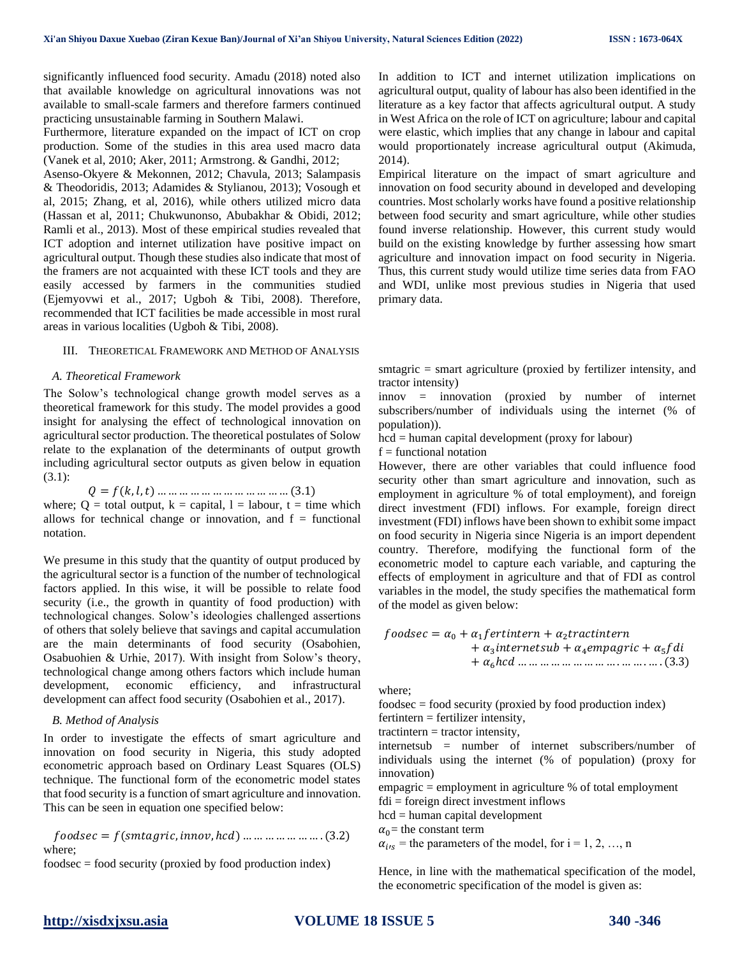significantly influenced food security. Amadu (2018) noted also that available knowledge on agricultural innovations was not available to small-scale farmers and therefore farmers continued practicing unsustainable farming in Southern Malawi.

Furthermore, literature expanded on the impact of ICT on crop production. Some of the studies in this area used macro data (Vanek et al, 2010; Aker, 2011; Armstrong. & Gandhi, 2012;

Asenso-Okyere & Mekonnen, 2012; Chavula, 2013; Salampasis & Theodoridis, 2013; Adamides & Stylianou, 2013); Vosough et al, 2015; Zhang, et al, 2016), while others utilized micro data (Hassan et al, 2011; Chukwunonso, Abubakhar & Obidi, 2012; Ramli et al., 2013). Most of these empirical studies revealed that ICT adoption and internet utilization have positive impact on agricultural output. Though these studies also indicate that most of the framers are not acquainted with these ICT tools and they are easily accessed by farmers in the communities studied (Ejemyovwi et al., 2017; Ugboh & Tibi, 2008). Therefore, recommended that ICT facilities be made accessible in most rural areas in various localities (Ugboh & Tibi, 2008).

#### III. THEORETICAL FRAMEWORK AND METHOD OF ANALYSIS

### *A. Theoretical Framework*

The Solow's technological change growth model serves as a theoretical framework for this study. The model provides a good insight for analysing the effect of technological innovation on agricultural sector production. The theoretical postulates of Solow relate to the explanation of the determinants of output growth including agricultural sector outputs as given below in equation (3.1):

 $Q = f(k, l, t)$  … … … … … … … … … … … (3.1) where;  $Q =$  total output,  $k =$  capital,  $l =$  labour,  $t =$  time which allows for technical change or innovation, and  $f =$  functional notation.

We presume in this study that the quantity of output produced by the agricultural sector is a function of the number of technological factors applied. In this wise, it will be possible to relate food security (i.e., the growth in quantity of food production) with technological changes. Solow's ideologies challenged assertions of others that solely believe that savings and capital accumulation are the main determinants of food security (Osabohien, Osabuohien & Urhie, 2017). With insight from Solow's theory, technological change among others factors which include human development, economic efficiency, and infrastructural development can affect food security (Osabohien et al., 2017).

## *B. Method of Analysis*

In order to investigate the effects of smart agriculture and innovation on food security in Nigeria, this study adopted econometric approach based on Ordinary Least Squares (OLS) technique. The functional form of the econometric model states that food security is a function of smart agriculture and innovation. This can be seen in equation one specified below:

 $foodsec = f(smtagric, innov, hcd)$  ... ... ... ... ... ... (3.2) where;

foodsec = food security (proxied by food production index)

In addition to ICT and internet utilization implications on agricultural output, quality of labour has also been identified in the literature as a key factor that affects agricultural output. A study in West Africa on the role of ICT on agriculture; labour and capital were elastic, which implies that any change in labour and capital would proportionately increase agricultural output (Akimuda, 2014).

Empirical literature on the impact of smart agriculture and innovation on food security abound in developed and developing countries. Most scholarly works have found a positive relationship between food security and smart agriculture, while other studies found inverse relationship. However, this current study would build on the existing knowledge by further assessing how smart agriculture and innovation impact on food security in Nigeria. Thus, this current study would utilize time series data from FAO and WDI, unlike most previous studies in Nigeria that used primary data.

smtagric = smart agriculture (proxied by fertilizer intensity, and tractor intensity)

innov = innovation (proxied by number of internet subscribers/number of individuals using the internet (% of population)).

hcd = human capital development (proxy for labour)

 $f =$  functional notation

However, there are other variables that could influence food security other than smart agriculture and innovation, such as employment in agriculture % of total employment), and foreign direct investment (FDI) inflows. For example, foreign direct investment (FDI) inflows have been shown to exhibit some impact on food security in Nigeria since Nigeria is an import dependent country. Therefore, modifying the functional form of the econometric model to capture each variable, and capturing the effects of employment in agriculture and that of FDI as control variables in the model, the study specifies the mathematical form of the model as given below:

 $f$ oodsec =  $\alpha_0 + \alpha_1$ f ertintern +  $\alpha_2$ tractintern  $+ \alpha_3$ internetsub  $+ \alpha_4$ empagric  $+ \alpha_5 f$ di  $+ \alpha_6 h c d$  … … … … … … … … … … … … . (3.3)

where;

foodsec = food security (proxied by food production index) fertintern = fertilizer intensity,

 $\text{traction} = \text{tractor intensity},$ 

internetsub = number of internet subscribers/number of individuals using the internet (% of population) (proxy for innovation)

empagric = employment in agriculture % of total employment

fdi = foreign direct investment inflows

hcd = human capital development

 $\alpha_0$ = the constant term

 $\alpha_{i\prime s}$  = the parameters of the model, for i = 1, 2, ..., n

Hence, in line with the mathematical specification of the model, the econometric specification of the model is given as: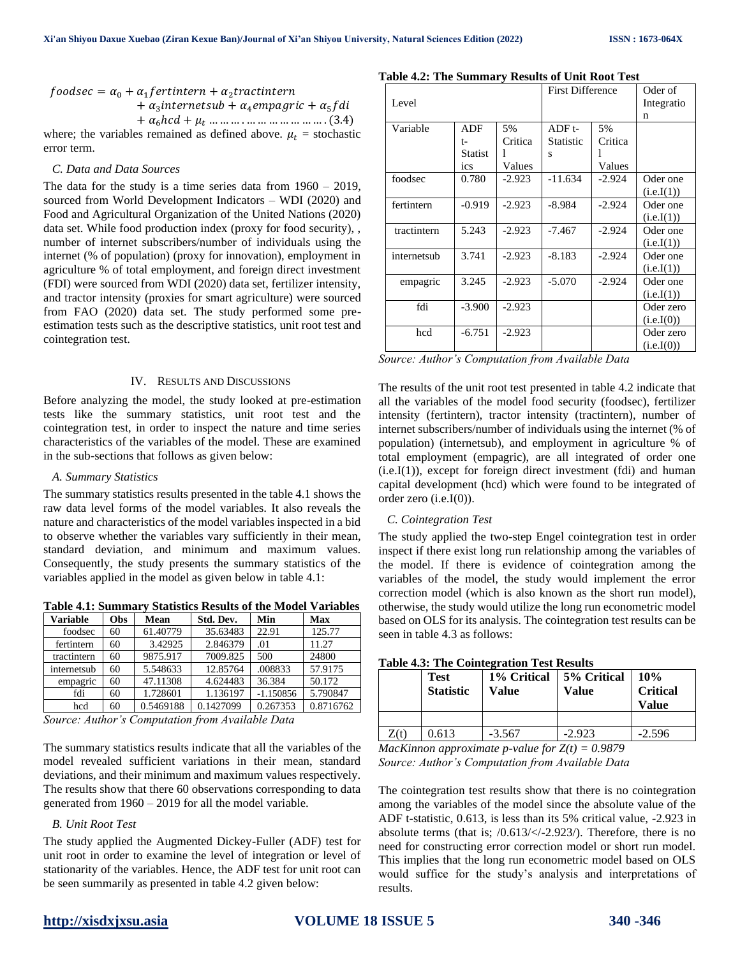| $f$ oodsec = $\alpha_0$ + $\alpha_1$ f ertintern + $\alpha_2$ tractintern |  |
|---------------------------------------------------------------------------|--|
| $+\alpha_3$ internetsub + $\alpha_4$ empagric + $\alpha_5$ f di           |  |
| $+\alpha_6 hcd + \mu_1$ (3.4)                                             |  |
| $\mathbf{u}$                                                              |  |

where; the variables remained as defined above.  $\mu_t$  = stochastic error term.

#### *C. Data and Data Sources*

The data for the study is a time series data from 1960 – 2019, sourced from World Development Indicators – WDI (2020) and Food and Agricultural Organization of the United Nations (2020) data set. While food production index (proxy for food security), , number of internet subscribers/number of individuals using the internet (% of population) (proxy for innovation), employment in agriculture % of total employment, and foreign direct investment (FDI) were sourced from WDI (2020) data set, fertilizer intensity, and tractor intensity (proxies for smart agriculture) were sourced from FAO (2020) data set. The study performed some preestimation tests such as the descriptive statistics, unit root test and cointegration test.

#### IV. RESULTS AND DISCUSSIONS

Before analyzing the model, the study looked at pre-estimation tests like the summary statistics, unit root test and the cointegration test, in order to inspect the nature and time series characteristics of the variables of the model. These are examined in the sub-sections that follows as given below:

#### *A. Summary Statistics*

The summary statistics results presented in the table 4.1 shows the raw data level forms of the model variables. It also reveals the nature and characteristics of the model variables inspected in a bid to observe whether the variables vary sufficiently in their mean, standard deviation, and minimum and maximum values. Consequently, the study presents the summary statistics of the variables applied in the model as given below in table 4.1:

**Table 4.1: Summary Statistics Results of the Model Variables**

| <b>Variable</b> | Obs | Mean      | Std. Dev. | Min         | Max       |
|-----------------|-----|-----------|-----------|-------------|-----------|
| foodsec         | 60  | 61.40779  | 35.63483  | 22.91       | 125.77    |
| fertintern      | 60  | 3.42925   | 2.846379  | .01         | 11.27     |
| tractintern     | 60  | 9875.917  | 7009.825  | 500         | 24800     |
| internetsub     | 60  | 5.548633  | 12.85764  | .008833     | 57.9175   |
| empagric        | 60  | 47.11308  | 4.624483  | 36.384      | 50.172    |
| fdi             | 60  | 1.728601  | 1.136197  | $-1.150856$ | 5.790847  |
| hcd             | 60  | 0.5469188 | 0.1427099 | 0.267353    | 0.8716762 |
|                 |     |           |           |             |           |

*Source: Author's Computation from Available Data*

The summary statistics results indicate that all the variables of the model revealed sufficient variations in their mean, standard deviations, and their minimum and maximum values respectively. The results show that there 60 observations corresponding to data generated from 1960 – 2019 for all the model variable.

#### *B. Unit Root Test*

The study applied the Augmented Dickey-Fuller (ADF) test for unit root in order to examine the level of integration or level of stationarity of the variables. Hence, the ADF test for unit root can be seen summarily as presented in table 4.2 given below:

|             |          |          | <b>First Difference</b> |          | Oder of     |
|-------------|----------|----------|-------------------------|----------|-------------|
| Level       |          |          |                         |          | Integratio  |
|             |          |          |                         |          | n           |
| Variable    | ADF      | 5%       | $ADFt-$                 | 5%       |             |
|             | t-       | Critica  | Statistic               | Critica  |             |
|             | Statist  | L        | S                       |          |             |
|             | ics      | Values   |                         | Values   |             |
| foodsec     | 0.780    | $-2.923$ | $-11.634$               | $-2.924$ | Oder one    |
|             |          |          |                         |          | (i.e. I(1)) |
| fertintern  | $-0.919$ | $-2.923$ | $-8.984$                | $-2.924$ | Oder one    |
|             |          |          |                         |          | (i.e. I(1)) |
| tractintern | 5.243    | $-2.923$ | $-7.467$                | $-2.924$ | Oder one    |
|             |          |          |                         |          | (i.e. I(1)) |
| internetsub | 3.741    | $-2.923$ | $-8.183$                | $-2.924$ | Oder one    |
|             |          |          |                         |          | (i.e. I(1)) |
| empagric    | 3.245    | $-2.923$ | $-5.070$                | $-2.924$ | Oder one    |
|             |          |          |                         |          | (i.e. I(1)) |
| fdi         | $-3.900$ | $-2.923$ |                         |          | Oder zero   |
|             |          |          |                         |          | (i.e. I(0)) |
| hcd         | $-6.751$ | $-2.923$ |                         |          | Oder zero   |
|             |          |          |                         |          | (i.e. I(0)) |

**Table 4.2: The Summary Results of Unit Root Test**

*Source: Author's Computation from Available Data*

The results of the unit root test presented in table 4.2 indicate that all the variables of the model food security (foodsec), fertilizer intensity (fertintern), tractor intensity (tractintern), number of internet subscribers/number of individuals using the internet (% of population) (internetsub), and employment in agriculture % of total employment (empagric), are all integrated of order one  $(i.e. I(1))$ , except for foreign direct investment (fdi) and human capital development (hcd) which were found to be integrated of order zero (i.e.I(0)).

### *C. Cointegration Test*

The study applied the two-step Engel cointegration test in order inspect if there exist long run relationship among the variables of the model. If there is evidence of cointegration among the variables of the model, the study would implement the error correction model (which is also known as the short run model), otherwise, the study would utilize the long run econometric model based on OLS for its analysis. The cointegration test results can be seen in table 4.3 as follows:

**Table 4.3: The Cointegration Test Results**

|      | <b>Test</b><br><b>Statistic</b> | 1% Critical<br>Value | 5% Critical<br>Value | 10%<br><b>Critical</b><br>Value |
|------|---------------------------------|----------------------|----------------------|---------------------------------|
|      |                                 |                      |                      |                                 |
| Z(t) | 0.613                           | $-3.567$             | $-2.923$             | $-2.596$                        |

*MacKinnon approximate p-value for Z(t) = 0.9879 Source: Author's Computation from Available Data*

The cointegration test results show that there is no cointegration among the variables of the model since the absolute value of the ADF t-statistic, 0.613, is less than its 5% critical value, -2.923 in absolute terms (that is; /0.613/</-2.923/). Therefore, there is no need for constructing error correction model or short run model. This implies that the long run econometric model based on OLS would suffice for the study's analysis and interpretations of results.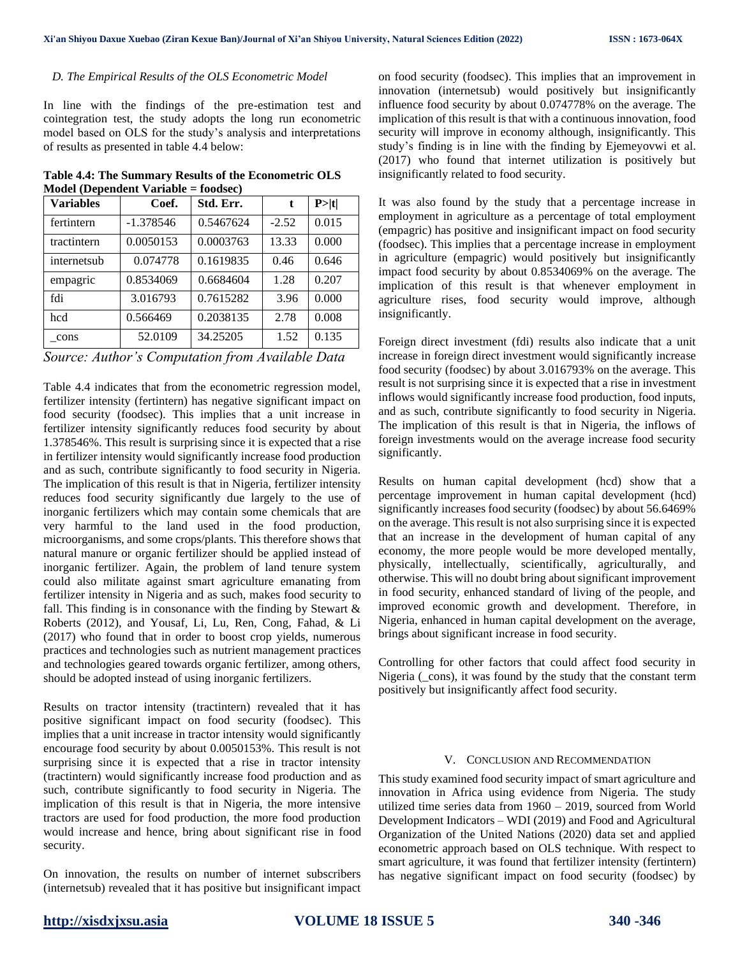#### *D. The Empirical Results of the OLS Econometric Model*

In line with the findings of the pre-estimation test and cointegration test, the study adopts the long run econometric model based on OLS for the study's analysis and interpretations of results as presented in table 4.4 below:

**Table 4.4: The Summary Results of the Econometric OLS Model (Dependent Variable = foodsec)**

| <b>Variables</b> | Coef.       | Std. Err. | t       | P> t  |
|------------------|-------------|-----------|---------|-------|
| fertintern       | $-1.378546$ | 0.5467624 | $-2.52$ | 0.015 |
| tractintern      | 0.0050153   | 0.0003763 | 13.33   | 0.000 |
| internetsub      | 0.074778    | 0.1619835 | 0.46    | 0.646 |
| empagric         | 0.8534069   | 0.6684604 | 1.28    | 0.207 |
| fdi              | 3.016793    | 0.7615282 | 3.96    | 0.000 |
| hcd              | 0.566469    | 0.2038135 | 2.78    | 0.008 |
| cons             | 52.0109     | 34.25205  | 1.52    | 0.135 |

*Source: Author's Computation from Available Data*

Table 4.4 indicates that from the econometric regression model, fertilizer intensity (fertintern) has negative significant impact on food security (foodsec). This implies that a unit increase in fertilizer intensity significantly reduces food security by about 1.378546%. This result is surprising since it is expected that a rise in fertilizer intensity would significantly increase food production and as such, contribute significantly to food security in Nigeria. The implication of this result is that in Nigeria, fertilizer intensity reduces food security significantly due largely to the use of inorganic fertilizers which may contain some chemicals that are very harmful to the land used in the food production, microorganisms, and some crops/plants. This therefore shows that natural manure or organic fertilizer should be applied instead of inorganic fertilizer. Again, the problem of land tenure system could also militate against smart agriculture emanating from fertilizer intensity in Nigeria and as such, makes food security to fall. This finding is in consonance with the finding by Stewart  $\&$ Roberts (2012), and Yousaf, Li, Lu, Ren, Cong, Fahad, & Li (2017) who found that in order to boost crop yields, numerous practices and technologies such as nutrient management practices and technologies geared towards organic fertilizer, among others, should be adopted instead of using inorganic fertilizers.

Results on tractor intensity (tractintern) revealed that it has positive significant impact on food security (foodsec). This implies that a unit increase in tractor intensity would significantly encourage food security by about 0.0050153%. This result is not surprising since it is expected that a rise in tractor intensity (tractintern) would significantly increase food production and as such, contribute significantly to food security in Nigeria. The implication of this result is that in Nigeria, the more intensive tractors are used for food production, the more food production would increase and hence, bring about significant rise in food security.

On innovation, the results on number of internet subscribers (internetsub) revealed that it has positive but insignificant impact on food security (foodsec). This implies that an improvement in innovation (internetsub) would positively but insignificantly influence food security by about 0.074778% on the average. The implication of this result is that with a continuous innovation, food security will improve in economy although, insignificantly. This study's finding is in line with the finding by Ejemeyovwi et al. (2017) who found that internet utilization is positively but insignificantly related to food security.

It was also found by the study that a percentage increase in employment in agriculture as a percentage of total employment (empagric) has positive and insignificant impact on food security (foodsec). This implies that a percentage increase in employment in agriculture (empagric) would positively but insignificantly impact food security by about 0.8534069% on the average. The implication of this result is that whenever employment in agriculture rises, food security would improve, although insignificantly.

Foreign direct investment (fdi) results also indicate that a unit increase in foreign direct investment would significantly increase food security (foodsec) by about 3.016793% on the average. This result is not surprising since it is expected that a rise in investment inflows would significantly increase food production, food inputs, and as such, contribute significantly to food security in Nigeria. The implication of this result is that in Nigeria, the inflows of foreign investments would on the average increase food security significantly.

Results on human capital development (hcd) show that a percentage improvement in human capital development (hcd) significantly increases food security (foodsec) by about 56.6469% on the average. This result is not also surprising since it is expected that an increase in the development of human capital of any economy, the more people would be more developed mentally, physically, intellectually, scientifically, agriculturally, and otherwise. This will no doubt bring about significant improvement in food security, enhanced standard of living of the people, and improved economic growth and development. Therefore, in Nigeria, enhanced in human capital development on the average, brings about significant increase in food security.

Controlling for other factors that could affect food security in Nigeria (\_cons), it was found by the study that the constant term positively but insignificantly affect food security.

#### V. CONCLUSION AND RECOMMENDATION

This study examined food security impact of smart agriculture and innovation in Africa using evidence from Nigeria. The study utilized time series data from 1960 – 2019, sourced from World Development Indicators – WDI (2019) and Food and Agricultural Organization of the United Nations (2020) data set and applied econometric approach based on OLS technique. With respect to smart agriculture, it was found that fertilizer intensity (fertintern) has negative significant impact on food security (foodsec) by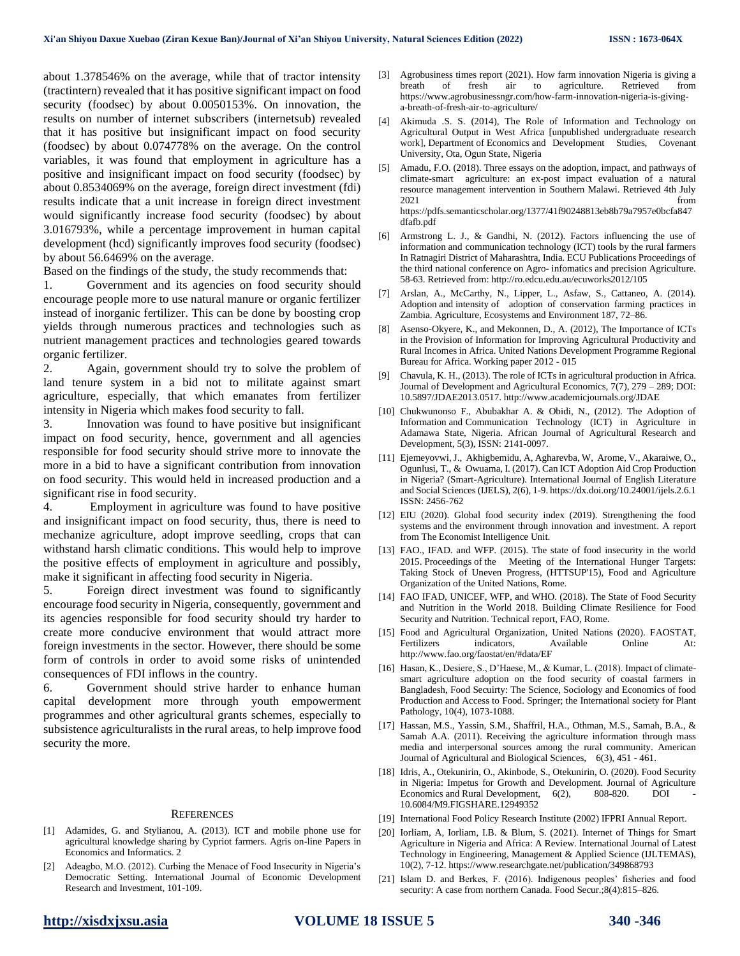about 1.378546% on the average, while that of tractor intensity (tractintern) revealed that it has positive significant impact on food security (foodsec) by about 0.0050153%. On innovation, the results on number of internet subscribers (internetsub) revealed that it has positive but insignificant impact on food security (foodsec) by about 0.074778% on the average. On the control variables, it was found that employment in agriculture has a positive and insignificant impact on food security (foodsec) by about 0.8534069% on the average, foreign direct investment (fdi) results indicate that a unit increase in foreign direct investment would significantly increase food security (foodsec) by about 3.016793%, while a percentage improvement in human capital development (hcd) significantly improves food security (foodsec) by about 56.6469% on the average.

Based on the findings of the study, the study recommends that:

1. Government and its agencies on food security should encourage people more to use natural manure or organic fertilizer instead of inorganic fertilizer. This can be done by boosting crop yields through numerous practices and technologies such as nutrient management practices and technologies geared towards organic fertilizer.

2. Again, government should try to solve the problem of land tenure system in a bid not to militate against smart agriculture, especially, that which emanates from fertilizer intensity in Nigeria which makes food security to fall.

3. Innovation was found to have positive but insignificant impact on food security, hence, government and all agencies responsible for food security should strive more to innovate the more in a bid to have a significant contribution from innovation on food security. This would held in increased production and a significant rise in food security.

4. Employment in agriculture was found to have positive and insignificant impact on food security, thus, there is need to mechanize agriculture, adopt improve seedling, crops that can withstand harsh climatic conditions. This would help to improve the positive effects of employment in agriculture and possibly, make it significant in affecting food security in Nigeria.

5. Foreign direct investment was found to significantly encourage food security in Nigeria, consequently, government and its agencies responsible for food security should try harder to create more conducive environment that would attract more foreign investments in the sector. However, there should be some form of controls in order to avoid some risks of unintended consequences of FDI inflows in the country.

6. Government should strive harder to enhance human capital development more through youth empowerment programmes and other agricultural grants schemes, especially to subsistence agriculturalists in the rural areas, to help improve food security the more.

#### **REFERENCES**

- [1] Adamides, G. and Stylianou, A. (2013). ICT and mobile phone use for agricultural knowledge sharing by Cypriot farmers. Agris on-line Papers in Economics and Informatics. 2
- [2] Adeagbo, M.O. (2012). Curbing the Menace of Food Insecurity in Nigeria's Democratic Setting. International Journal of Economic Development Research and Investment, 101-109.
- [3] Agrobusiness times report (2021). How farm innovation Nigeria is giving a breath of fresh air to agriculture. Retrieved from https://www.agrobusinessngr.com/how-farm-innovation-nigeria-is-givinga-breath-of-fresh-air-to-agriculture/
- [4] Akimuda .S. S. (2014), The Role of Information and Technology on Agricultural Output in West Africa [unpublished undergraduate research work], Department of Economics and Development Studies, Covenant University, Ota, Ogun State, Nigeria
- [5] Amadu, F.O. (2018). Three essays on the adoption, impact, and pathways of climate-smart agriculture: an ex-post impact evaluation of a natural resource management intervention in Southern Malawi. Retrieved 4th July 2021 from https://pdfs.semanticscholar.org/1377/41f90248813eb8b79a7957e0bcfa847 dfafb.pdf
- [6] Armstrong L. J., & Gandhi, N. (2012). Factors influencing the use of information and communication technology (ICT) tools by the rural farmers In Ratnagiri District of Maharashtra, India. ECU Publications Proceedings of the third national conference on Agro- infomatics and precision Agriculture. 58-63. Retrieved from: http://ro.edcu.edu.au/ecuworks2012/105
- [7] Arslan, A., McCarthy, N., Lipper, L., Asfaw, S., Cattaneo, A. (2014). Adoption and intensity of adoption of conservation farming practices in Zambia. Agriculture, Ecosystems and Environment 187, 72–86.
- [8] Asenso-Okyere, K., and Mekonnen, D., A. (2012), The Importance of ICTs in the Provision of Information for Improving Agricultural Productivity and Rural Incomes in Africa. United Nations Development Programme Regional Bureau for Africa. Working paper 2012 - 015
- [9] Chavula, K. H., (2013). The role of ICTs in agricultural production in Africa. Journal of Development and Agricultural Economics, 7(7), 279 – 289; DOI: 10.5897/JDAE2013.0517. http://www.academicjournals.org/JDAE
- [10] Chukwunonso F., Abubakhar A. & Obidi, N., (2012). The Adoption of Information and Communication Technology (ICT) in Agriculture in Adamawa State, Nigeria. African Journal of Agricultural Research and Development, 5(3), ISSN: 2141-0097.
- [11] Ejemeyovwi, J., Akhigbemidu, A, Agharevba, W, Arome, V., Akaraiwe, O., Ogunlusi, T., & Owuama, I. (2017). Can ICT Adoption Aid Crop Production in Nigeria? (Smart-Agriculture). International Journal of English Literature and Social Sciences (IJELS), 2(6), 1-9. https://dx.doi.org/10.24001/ijels.2.6.1 ISSN: 2456-762
- [12] EIU (2020). Global food security index (2019). Strengthening the food systems and the environment through innovation and investment. A report from The Economist Intelligence Unit.
- [13] FAO., IFAD. and WFP. (2015). The state of food insecurity in the world 2015. Proceedings of the Meeting of the International Hunger Targets: Taking Stock of Uneven Progress, (HTTSUP'15), Food and Agriculture Organization of the United Nations, Rome.
- [14] FAO IFAD, UNICEF, WFP, and WHO. (2018). The State of Food Security and Nutrition in the World 2018. Building Climate Resilience for Food Security and Nutrition. Technical report, FAO, Rome.
- [15] Food and Agricultural Organization, United Nations (2020). FAOSTAT, Fertilizers indicators, Available Online At: http://www.fao.org/faostat/en/#data/EF
- [16] Hasan, K., Desiere, S., D'Haese, M., & Kumar, L. (2018). Impact of climatesmart agriculture adoption on the food security of coastal farmers in Bangladesh, Food Secuirty: The Science, Sociology and Economics of food Production and Access to Food. Springer; the International society for Plant Pathology, 10(4), 1073-1088.
- [17] Hassan, M.S., Yassin, S.M., Shaffril, H.A., Othman, M.S., Samah, B.A., & Samah A.A. (2011). Receiving the agriculture information through mass media and interpersonal sources among the rural community. American Journal of Agricultural and Biological Sciences, 6(3), 451 - 461.
- [18] Idris, A., Otekunirin, O., Akinbode, S., Otekunirin, O. (2020). Food Security in Nigeria: Impetus for Growth and Development. Journal of Agriculture Economics and Rural Development, 6(2), 808-820. DOI 10.6084/M9.FIGSHARE.12949352
- [19] International Food Policy Research Institute (2002) IFPRI Annual Report.
- [20] Iorliam, A, Iorliam, I.B. & Blum, S. (2021). Internet of Things for Smart Agriculture in Nigeria and Africa: A Review. International Journal of Latest Technology in Engineering, Management & Applied Science (IJLTEMAS), 10(2), 7-12. https://www.researchgate.net/publication/349868793
- [21] Islam D. and Berkes, F. (2016). Indigenous peoples' fisheries and food security: A case from northern Canada. Food Secur.;8(4):815–826.